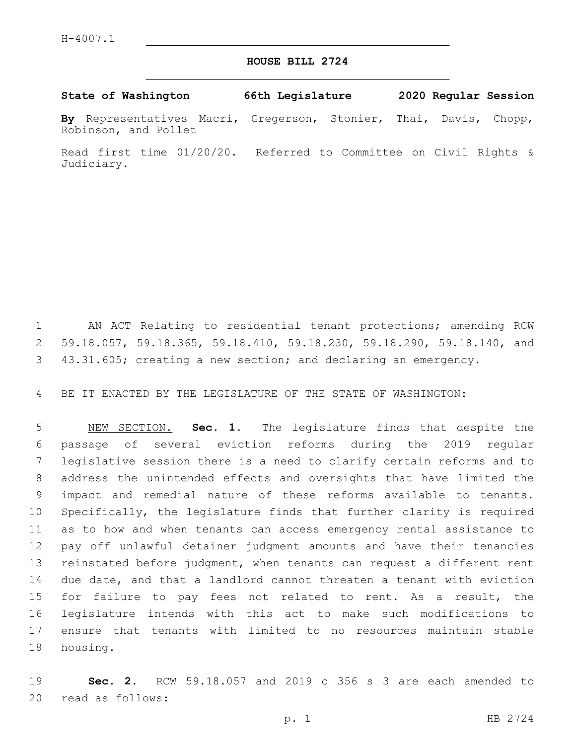## **HOUSE BILL 2724**

**State of Washington 66th Legislature 2020 Regular Session**

**By** Representatives Macri, Gregerson, Stonier, Thai, Davis, Chopp, Robinson, and Pollet

Read first time 01/20/20. Referred to Committee on Civil Rights & Judiciary.

 AN ACT Relating to residential tenant protections; amending RCW 59.18.057, 59.18.365, 59.18.410, 59.18.230, 59.18.290, 59.18.140, and 43.31.605; creating a new section; and declaring an emergency.

BE IT ENACTED BY THE LEGISLATURE OF THE STATE OF WASHINGTON:

 NEW SECTION. **Sec. 1.** The legislature finds that despite the passage of several eviction reforms during the 2019 regular legislative session there is a need to clarify certain reforms and to address the unintended effects and oversights that have limited the impact and remedial nature of these reforms available to tenants. Specifically, the legislature finds that further clarity is required as to how and when tenants can access emergency rental assistance to pay off unlawful detainer judgment amounts and have their tenancies reinstated before judgment, when tenants can request a different rent due date, and that a landlord cannot threaten a tenant with eviction for failure to pay fees not related to rent. As a result, the legislature intends with this act to make such modifications to ensure that tenants with limited to no resources maintain stable housing.

 **Sec. 2.** RCW 59.18.057 and 2019 c 356 s 3 are each amended to 20 read as follows: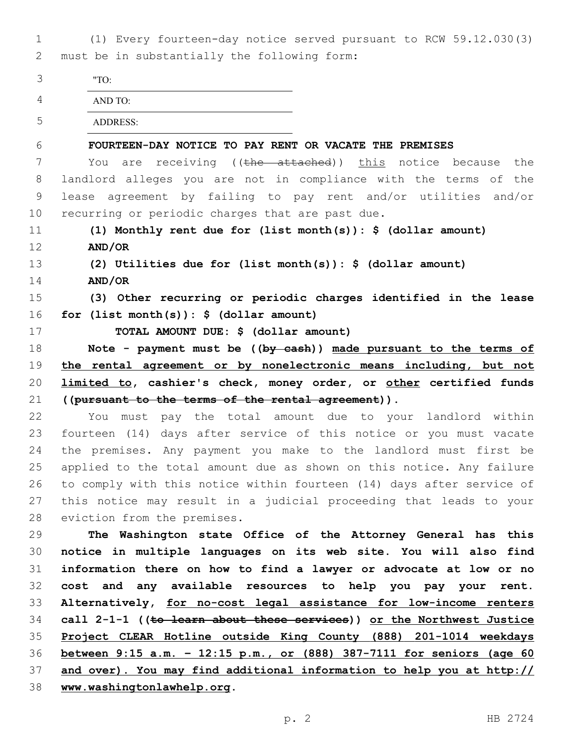(1) Every fourteen-day notice served pursuant to RCW 59.12.030(3) must be in substantially the following form:2

| 3  | "TO:                                                                          |
|----|-------------------------------------------------------------------------------|
| 4  | AND TO:                                                                       |
| 5  | <b>ADDRESS:</b>                                                               |
| 6  | FOURTEEN-DAY NOTICE TO PAY RENT OR VACATE THE PREMISES                        |
| 7  | are receiving (( <del>the attached</del> )) this notice because<br>the<br>You |
| 8  | landlord alleges you are not in compliance with the terms<br>of the           |
| 9  | lease agreement by failing to pay rent and/or utilities and/or                |
| 10 | recurring or periodic charges that are past due.                              |
| 11 | (1) Monthly rent due for (list month(s)): $\frac{1}{2}$ (dollar amount)       |
| 12 | AND/OR                                                                        |
| 13 | (2) Utilities due for (list month(s)): $\frac{1}{2}$ (dollar amount)          |
| 14 | AND/OR                                                                        |
| 15 | (3) Other recurring or periodic charges identified in the lease               |
| 16 | for $(list month(s)):$ \$ $(dollar amount)$                                   |
| 17 | TOTAL AMOUNT DUE: \$ (dollar amount)                                          |
| 18 | Note - payment must be $((by-eash))$ made pursuant to the terms of            |
| 19 | the rental agreement or by nonelectronic means including, but not             |
| 20 | limited to, cashier's check, money order, or other certified funds            |
| 21 | ((pursuant to the terms of the rental agreement)).                            |
| 22 | You must pay the total amount due to your landlord within                     |
| 23 | fourteen (14) days after service of this notice or you must vacate            |
| 24 | the premises. Any payment you make to the landlord must first be              |
| 25 | applied to the total amount due as shown on this notice. Any failure          |
| 26 | to comply with this notice within fourteen (14) days after service of         |
| 27 | this notice may result in a judicial proceeding that leads to your            |
| 28 | eviction from the premises.                                                   |
| 29 | The Washington state Office of the Attorney General has this                  |
| 30 | notice in multiple languages on its web site. You will also find              |
| 31 | information there on how to find a lawyer or advocate at low or no            |
| 32 | cost and any available resources to help you pay your rent.                   |
| 33 | Alternatively, for no-cost legal assistance for low-income renters            |
| 34 | call 2-1-1 ((to learn about these services)) or the Northwest Justice         |
| 35 | Project CLEAR Hotline outside King County (888) 201-1014 weekdays             |
| 36 | between 9:15 a.m. - 12:15 p.m., or (888) 387-7111 for seniors (age 60         |

- **and over). You may find additional information to help you at http://**
- **www.washingtonlawhelp.org.**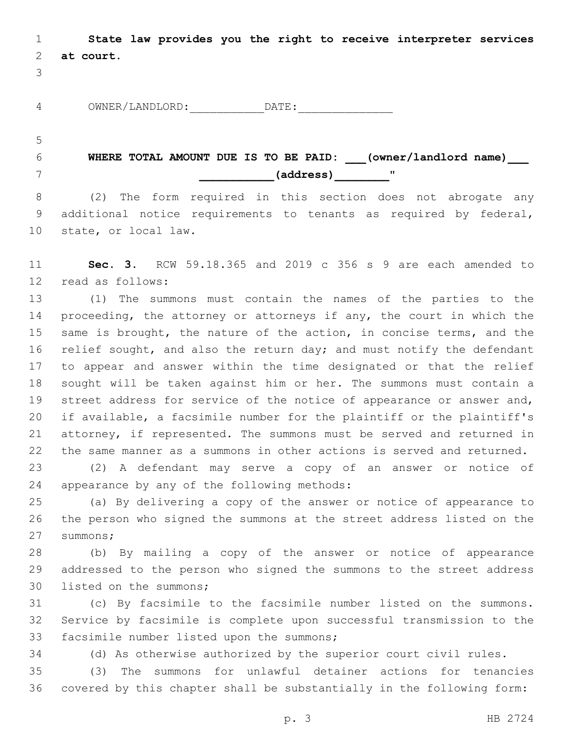**State law provides you the right to receive interpreter services at court.**

| z<br>∸<br>. . | ---------<br>_______<br>) M NI<br><u>ັ</u><br>------<br>--<br>-- |  |
|---------------|------------------------------------------------------------------|--|
|               |                                                                  |  |

**WHERE TOTAL AMOUNT DUE IS TO BE PAID: (owner/landlord name) \_\_\_\_\_\_\_\_\_\_\_(address)\_\_\_\_\_\_\_\_**"7

 (2) The form required in this section does not abrogate any additional notice requirements to tenants as required by federal, 10 state, or local law.

 **Sec. 3.** RCW 59.18.365 and 2019 c 356 s 9 are each amended to 12 read as follows:

 (1) The summons must contain the names of the parties to the 14 proceeding, the attorney or attorneys if any, the court in which the same is brought, the nature of the action, in concise terms, and the 16 relief sought, and also the return day; and must notify the defendant to appear and answer within the time designated or that the relief sought will be taken against him or her. The summons must contain a street address for service of the notice of appearance or answer and, if available, a facsimile number for the plaintiff or the plaintiff's attorney, if represented. The summons must be served and returned in the same manner as a summons in other actions is served and returned.

 (2) A defendant may serve a copy of an answer or notice of 24 appearance by any of the following methods:

 (a) By delivering a copy of the answer or notice of appearance to the person who signed the summons at the street address listed on the 27 summons;

 (b) By mailing a copy of the answer or notice of appearance addressed to the person who signed the summons to the street address 30 listed on the summons;

 (c) By facsimile to the facsimile number listed on the summons. Service by facsimile is complete upon successful transmission to the 33 facsimile number listed upon the summons;

(d) As otherwise authorized by the superior court civil rules.

 (3) The summons for unlawful detainer actions for tenancies covered by this chapter shall be substantially in the following form: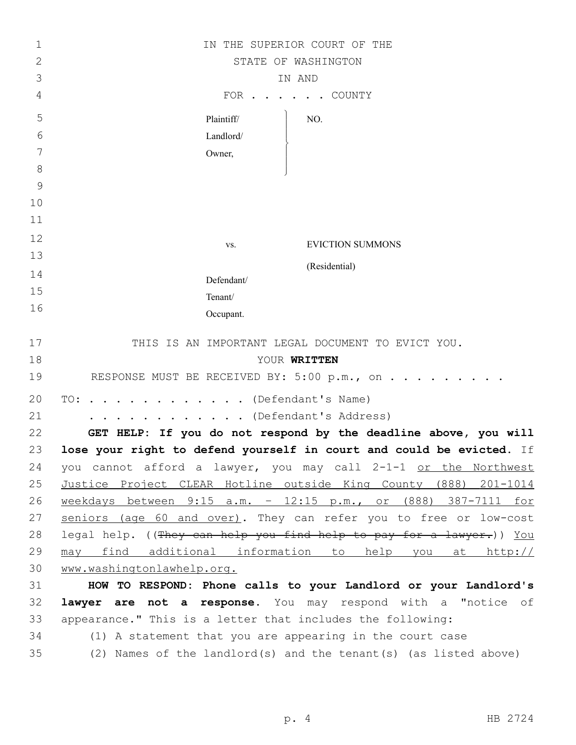| 1             | IN THE SUPERIOR COURT OF THE                                         |
|---------------|----------------------------------------------------------------------|
| $\mathbf{2}$  | STATE OF WASHINGTON                                                  |
| 3             | IN AND                                                               |
| 4             | FOR .<br>COUNTY                                                      |
| 5             | Plaintiff/<br>NO.                                                    |
| 6             | Landlord/                                                            |
| 7             | Owner,                                                               |
| 8             |                                                                      |
| $\mathcal{G}$ |                                                                      |
| 10            |                                                                      |
| 11            |                                                                      |
| 12            | <b>EVICTION SUMMONS</b><br>VS.                                       |
| 13            | (Residential)                                                        |
| 14            | Defendant/                                                           |
| 15            | Tenant/                                                              |
| 16            | Occupant.                                                            |
| 17            | THIS IS AN IMPORTANT LEGAL DOCUMENT TO EVICT YOU.                    |
| 18            | YOUR WRITTEN                                                         |
| 19            | RESPONSE MUST BE RECEIVED BY: 5:00 p.m., on                          |
| 20            | . (Defendant's Name)<br>TO:                                          |
| 21            | (Defendant's Address)                                                |
| 22            | GET HELP: If you do not respond by the deadline above, you will      |
| 23            | lose your right to defend yourself in court and could be evicted. If |
| 24            | you cannot afford a lawyer, you may call 2-1-1 or the Northwest      |
| 25            | Justice Project CLEAR Hotline outside King County (888) 201-1014     |
| 26            | weekdays between 9:15 a.m. - 12:15 p.m., or (888) 387-7111 for       |
| 27            | seniors (age 60 and over). They can refer you to free or low-cost    |
| 28            | legal help. ((They can help you find help to pay for a lawyer.)) You |
| 29            | may find additional information to help you at http://               |
| 30            | www.washingtonlawhelp.org.                                           |
| 31            | HOW TO RESPOND: Phone calls to your Landlord or your Landlord's      |
| 32            | lawyer are not a response. You may respond with a "notice of         |
| 33            | appearance." This is a letter that includes the following:           |
| 34            | (1) A statement that you are appearing in the court case             |
| 35            | (2) Names of the landlord(s) and the tenant(s) (as listed above)     |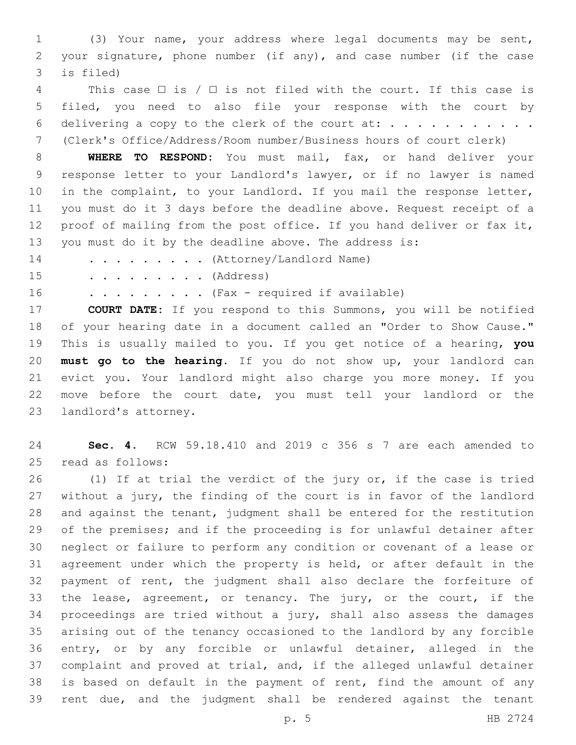(3) Your name, your address where legal documents may be sent, your signature, phone number (if any), and case number (if the case 3 is filed)

4 This case  $\Box$  is /  $\Box$  is not filed with the court. If this case is filed, you need to also file your response with the court by delivering a copy to the clerk of the court at: . . . . . . . . . . . (Clerk's Office/Address/Room number/Business hours of court clerk)

 **WHERE TO RESPOND:** You must mail, fax, or hand deliver your response letter to your Landlord's lawyer, or if no lawyer is named in the complaint, to your Landlord. If you mail the response letter, you must do it 3 days before the deadline above. Request receipt of a proof of mailing from the post office. If you hand deliver or fax it, you must do it by the deadline above. The address is:

14 . . . . . . . . (Attorney/Landlord Name)

15 . . . . . . . . . (Address)

16 . . . . . . . . . (Fax - required if available)

 **COURT DATE:** If you respond to this Summons, you will be notified of your hearing date in a document called an "Order to Show Cause." This is usually mailed to you. If you get notice of a hearing, **you must go to the hearing**. If you do not show up, your landlord can evict you. Your landlord might also charge you more money. If you move before the court date, you must tell your landlord or the 23 landlord's attorney.

 **Sec. 4.** RCW 59.18.410 and 2019 c 356 s 7 are each amended to 25 read as follows:

 (1) If at trial the verdict of the jury or, if the case is tried without a jury, the finding of the court is in favor of the landlord and against the tenant, judgment shall be entered for the restitution of the premises; and if the proceeding is for unlawful detainer after neglect or failure to perform any condition or covenant of a lease or agreement under which the property is held, or after default in the payment of rent, the judgment shall also declare the forfeiture of the lease, agreement, or tenancy. The jury, or the court, if the proceedings are tried without a jury, shall also assess the damages arising out of the tenancy occasioned to the landlord by any forcible entry, or by any forcible or unlawful detainer, alleged in the complaint and proved at trial, and, if the alleged unlawful detainer is based on default in the payment of rent, find the amount of any rent due, and the judgment shall be rendered against the tenant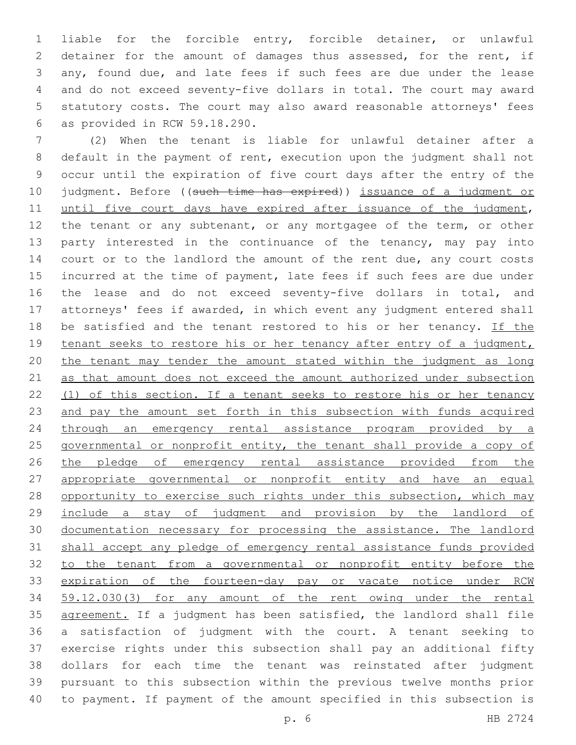liable for the forcible entry, forcible detainer, or unlawful 2 detainer for the amount of damages thus assessed, for the rent, if any, found due, and late fees if such fees are due under the lease and do not exceed seventy-five dollars in total. The court may award statutory costs. The court may also award reasonable attorneys' fees as provided in RCW 59.18.290.6

 (2) When the tenant is liable for unlawful detainer after a default in the payment of rent, execution upon the judgment shall not occur until the expiration of five court days after the entry of the 10 judgment. Before ((such time has expired)) issuance of a judgment or 11 until five court days have expired after issuance of the judgment, 12 the tenant or any subtenant, or any mortgagee of the term, or other 13 party interested in the continuance of the tenancy, may pay into 14 court or to the landlord the amount of the rent due, any court costs incurred at the time of payment, late fees if such fees are due under the lease and do not exceed seventy-five dollars in total, and attorneys' fees if awarded, in which event any judgment entered shall 18 be satisfied and the tenant restored to his or her tenancy. If the tenant seeks to restore his or her tenancy after entry of a judgment, the tenant may tender the amount stated within the judgment as long as that amount does not exceed the amount authorized under subsection (1) of this section. If a tenant seeks to restore his or her tenancy 23 and pay the amount set forth in this subsection with funds acquired through an emergency rental assistance program provided by a governmental or nonprofit entity, the tenant shall provide a copy of 26 the pledge of emergency rental assistance provided from the appropriate governmental or nonprofit entity and have an equal 28 opportunity to exercise such rights under this subsection, which may include a stay of judgment and provision by the landlord of documentation necessary for processing the assistance. The landlord shall accept any pledge of emergency rental assistance funds provided to the tenant from a governmental or nonprofit entity before the 33 expiration of the fourteen-day pay or vacate notice under RCW 59.12.030(3) for any amount of the rent owing under the rental agreement. If a judgment has been satisfied, the landlord shall file a satisfaction of judgment with the court. A tenant seeking to exercise rights under this subsection shall pay an additional fifty dollars for each time the tenant was reinstated after judgment pursuant to this subsection within the previous twelve months prior to payment. If payment of the amount specified in this subsection is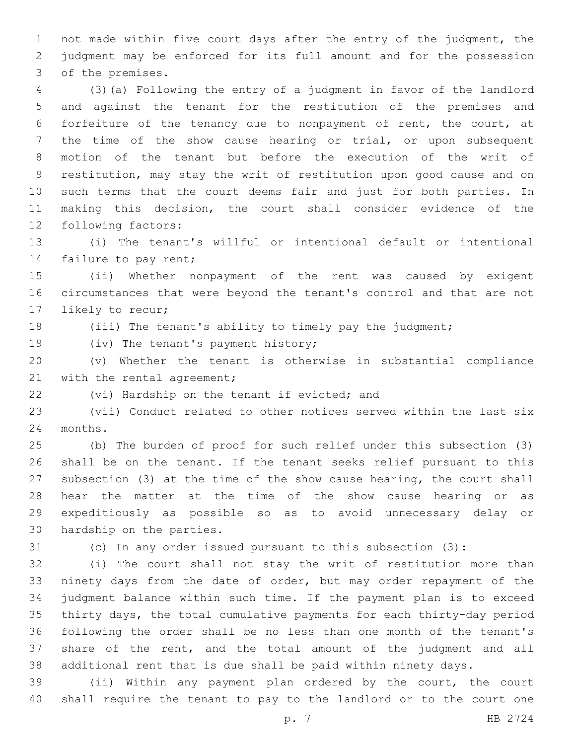not made within five court days after the entry of the judgment, the judgment may be enforced for its full amount and for the possession 3 of the premises.

 (3)(a) Following the entry of a judgment in favor of the landlord and against the tenant for the restitution of the premises and forfeiture of the tenancy due to nonpayment of rent, the court, at the time of the show cause hearing or trial, or upon subsequent motion of the tenant but before the execution of the writ of restitution, may stay the writ of restitution upon good cause and on such terms that the court deems fair and just for both parties. In making this decision, the court shall consider evidence of the 12 following factors:

 (i) The tenant's willful or intentional default or intentional 14 failure to pay rent;

 (ii) Whether nonpayment of the rent was caused by exigent circumstances that were beyond the tenant's control and that are not 17 likely to recur;

(iii) The tenant's ability to timely pay the judgment;

19 (iv) The tenant's payment history;

 (v) Whether the tenant is otherwise in substantial compliance 21 with the rental agreement;

22 (vi) Hardship on the tenant if evicted; and

 (vii) Conduct related to other notices served within the last six 24 months.

 (b) The burden of proof for such relief under this subsection (3) shall be on the tenant. If the tenant seeks relief pursuant to this subsection (3) at the time of the show cause hearing, the court shall hear the matter at the time of the show cause hearing or as expeditiously as possible so as to avoid unnecessary delay or 30 hardship on the parties.

(c) In any order issued pursuant to this subsection (3):

 (i) The court shall not stay the writ of restitution more than ninety days from the date of order, but may order repayment of the judgment balance within such time. If the payment plan is to exceed thirty days, the total cumulative payments for each thirty-day period following the order shall be no less than one month of the tenant's share of the rent, and the total amount of the judgment and all additional rent that is due shall be paid within ninety days.

 (ii) Within any payment plan ordered by the court, the court shall require the tenant to pay to the landlord or to the court one

p. 7 HB 2724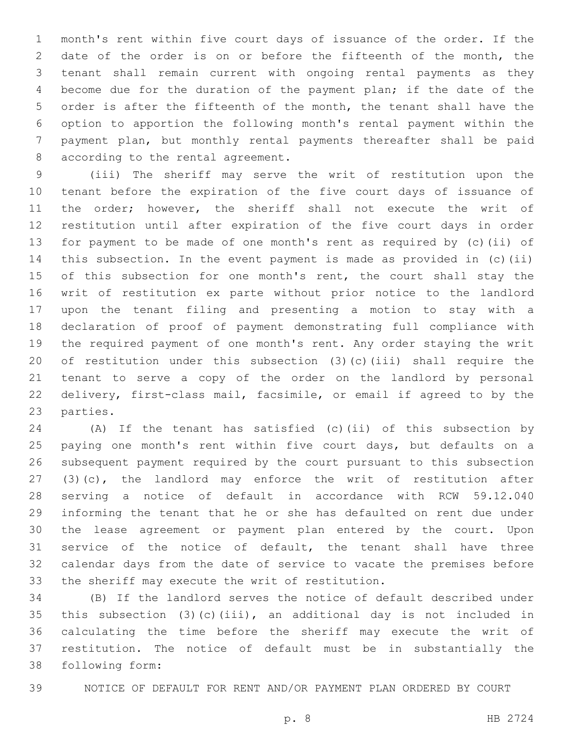month's rent within five court days of issuance of the order. If the date of the order is on or before the fifteenth of the month, the tenant shall remain current with ongoing rental payments as they become due for the duration of the payment plan; if the date of the order is after the fifteenth of the month, the tenant shall have the option to apportion the following month's rental payment within the payment plan, but monthly rental payments thereafter shall be paid 8 according to the rental agreement.

 (iii) The sheriff may serve the writ of restitution upon the tenant before the expiration of the five court days of issuance of the order; however, the sheriff shall not execute the writ of restitution until after expiration of the five court days in order for payment to be made of one month's rent as required by (c)(ii) of this subsection. In the event payment is made as provided in (c)(ii) 15 of this subsection for one month's rent, the court shall stay the writ of restitution ex parte without prior notice to the landlord upon the tenant filing and presenting a motion to stay with a declaration of proof of payment demonstrating full compliance with the required payment of one month's rent. Any order staying the writ of restitution under this subsection (3)(c)(iii) shall require the tenant to serve a copy of the order on the landlord by personal delivery, first-class mail, facsimile, or email if agreed to by the 23 parties.

 (A) If the tenant has satisfied (c)(ii) of this subsection by paying one month's rent within five court days, but defaults on a subsequent payment required by the court pursuant to this subsection (3)(c), the landlord may enforce the writ of restitution after serving a notice of default in accordance with RCW 59.12.040 informing the tenant that he or she has defaulted on rent due under the lease agreement or payment plan entered by the court. Upon service of the notice of default, the tenant shall have three calendar days from the date of service to vacate the premises before 33 the sheriff may execute the writ of restitution.

 (B) If the landlord serves the notice of default described under this subsection (3)(c)(iii), an additional day is not included in calculating the time before the sheriff may execute the writ of restitution. The notice of default must be in substantially the following form:38

NOTICE OF DEFAULT FOR RENT AND/OR PAYMENT PLAN ORDERED BY COURT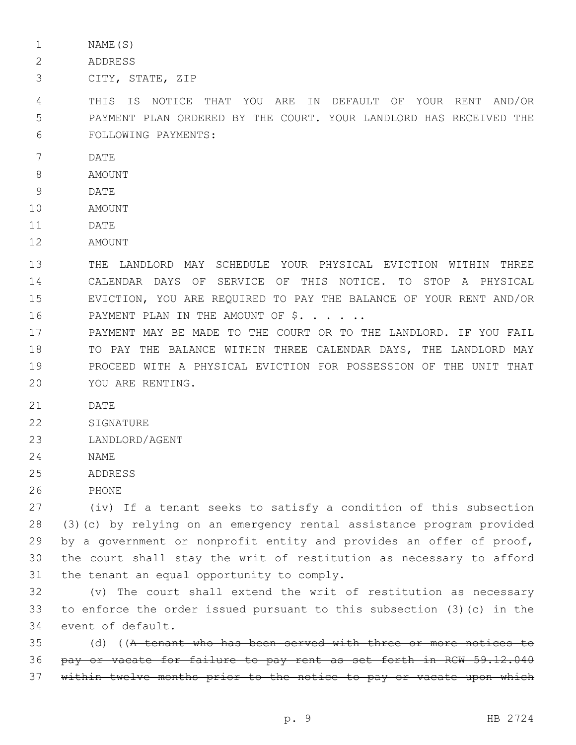1 NAME(S)

- 2 ADDRESS
- 3 CITY, STATE, ZIP

4 THIS IS NOTICE THAT YOU ARE IN DEFAULT OF YOUR RENT AND/OR 5 PAYMENT PLAN ORDERED BY THE COURT. YOUR LANDLORD HAS RECEIVED THE FOLLOWING PAYMENTS:6

- 7 DATE
- 8 AMOUNT
- 9 DATE
- 10 AMOUNT
- 11 DATE
- 12 AMOUNT

 THE LANDLORD MAY SCHEDULE YOUR PHYSICAL EVICTION WITHIN THREE CALENDAR DAYS OF SERVICE OF THIS NOTICE. TO STOP A PHYSICAL EVICTION, YOU ARE REQUIRED TO PAY THE BALANCE OF YOUR RENT AND/OR 16 PAYMENT PLAN IN THE AMOUNT OF \$. . . . .

 PAYMENT MAY BE MADE TO THE COURT OR TO THE LANDLORD. IF YOU FAIL TO PAY THE BALANCE WITHIN THREE CALENDAR DAYS, THE LANDLORD MAY PROCEED WITH A PHYSICAL EVICTION FOR POSSESSION OF THE UNIT THAT 20 YOU ARE RENTING.

- 21 DATE
- 22 SIGNATURE
- 23 LANDLORD/AGENT
- 24 NAME
- 25 ADDRESS
- 26 PHONE

 (iv) If a tenant seeks to satisfy a condition of this subsection (3)(c) by relying on an emergency rental assistance program provided by a government or nonprofit entity and provides an offer of proof, the court shall stay the writ of restitution as necessary to afford the tenant an equal opportunity to comply.

32 (v) The court shall extend the writ of restitution as necessary 33 to enforce the order issued pursuant to this subsection (3)(c) in the 34 event of default.

 $35$  (d) ((A tenant who has been served with three or more notices to 36 pay or vacate for failure to pay rent as set forth in RCW 59.12.040 37 within twelve months prior to the notice to pay or vacate upon which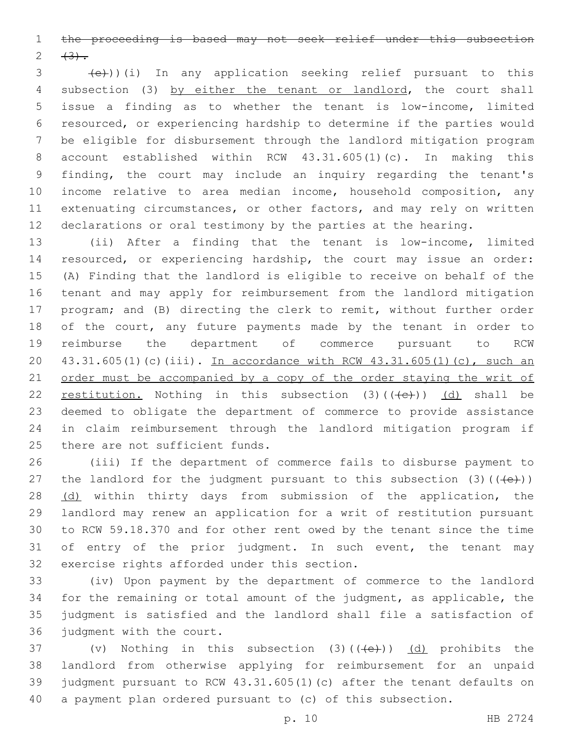the proceeding is based may not seek relief under this subsection  $2 + 3$ .

 $\left( \frac{1}{e^{+}} \right)$ )(i) In any application seeking relief pursuant to this 4 subsection (3) by either the tenant or landlord, the court shall issue a finding as to whether the tenant is low-income, limited resourced, or experiencing hardship to determine if the parties would be eligible for disbursement through the landlord mitigation program account established within RCW 43.31.605(1)(c). In making this finding, the court may include an inquiry regarding the tenant's income relative to area median income, household composition, any extenuating circumstances, or other factors, and may rely on written declarations or oral testimony by the parties at the hearing.

 (ii) After a finding that the tenant is low-income, limited resourced, or experiencing hardship, the court may issue an order: (A) Finding that the landlord is eligible to receive on behalf of the tenant and may apply for reimbursement from the landlord mitigation program; and (B) directing the clerk to remit, without further order 18 of the court, any future payments made by the tenant in order to reimburse the department of commerce pursuant to RCW 43.31.605(1)(c)(iii). In accordance with RCW 43.31.605(1)(c), such an 21 order must be accompanied by a copy of the order staying the writ of 22 restitution. Nothing in this subsection  $(3)$   $((+e+))$   $(d)$  shall be deemed to obligate the department of commerce to provide assistance in claim reimbursement through the landlord mitigation program if 25 there are not sufficient funds.

 (iii) If the department of commerce fails to disburse payment to 27 the landlord for the judgment pursuant to this subsection  $(3)$  ( $(\overline{+e})$ ) 28 (d) within thirty days from submission of the application, the landlord may renew an application for a writ of restitution pursuant to RCW 59.18.370 and for other rent owed by the tenant since the time of entry of the prior judgment. In such event, the tenant may 32 exercise rights afforded under this section.

 (iv) Upon payment by the department of commerce to the landlord for the remaining or total amount of the judgment, as applicable, the judgment is satisfied and the landlord shall file a satisfaction of 36 judgment with the court.

 $(v)$  Nothing in this subsection (3)( $(\overline{+e})$ ) (d) prohibits the landlord from otherwise applying for reimbursement for an unpaid judgment pursuant to RCW 43.31.605(1)(c) after the tenant defaults on a payment plan ordered pursuant to (c) of this subsection.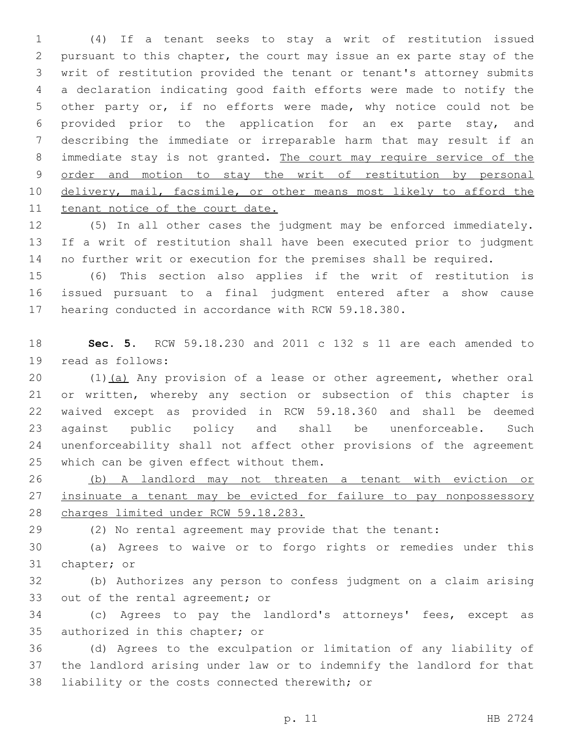(4) If a tenant seeks to stay a writ of restitution issued pursuant to this chapter, the court may issue an ex parte stay of the writ of restitution provided the tenant or tenant's attorney submits a declaration indicating good faith efforts were made to notify the other party or, if no efforts were made, why notice could not be provided prior to the application for an ex parte stay, and describing the immediate or irreparable harm that may result if an 8 immediate stay is not granted. The court may require service of the order and motion to stay the writ of restitution by personal 10 delivery, mail, facsimile, or other means most likely to afford the tenant notice of the court date.

 (5) In all other cases the judgment may be enforced immediately. If a writ of restitution shall have been executed prior to judgment no further writ or execution for the premises shall be required.

 (6) This section also applies if the writ of restitution is issued pursuant to a final judgment entered after a show cause hearing conducted in accordance with RCW 59.18.380.

 **Sec. 5.** RCW 59.18.230 and 2011 c 132 s 11 are each amended to 19 read as follows:

20 (1)(a) Any provision of a lease or other agreement, whether oral or written, whereby any section or subsection of this chapter is waived except as provided in RCW 59.18.360 and shall be deemed against public policy and shall be unenforceable. Such unenforceability shall not affect other provisions of the agreement 25 which can be given effect without them.

 (b) A landlord may not threaten a tenant with eviction or 27 insinuate a tenant may be evicted for failure to pay nonpossessory charges limited under RCW 59.18.283.

(2) No rental agreement may provide that the tenant:

 (a) Agrees to waive or to forgo rights or remedies under this 31 chapter; or

 (b) Authorizes any person to confess judgment on a claim arising 33 out of the rental agreement; or

 (c) Agrees to pay the landlord's attorneys' fees, except as 35 authorized in this chapter; or

 (d) Agrees to the exculpation or limitation of any liability of the landlord arising under law or to indemnify the landlord for that 38 liability or the costs connected therewith; or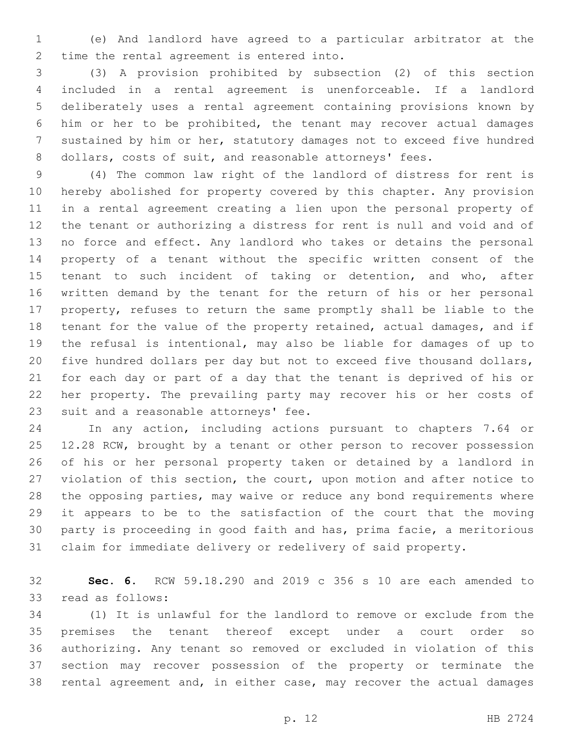(e) And landlord have agreed to a particular arbitrator at the 2 time the rental agreement is entered into.

 (3) A provision prohibited by subsection (2) of this section included in a rental agreement is unenforceable. If a landlord deliberately uses a rental agreement containing provisions known by him or her to be prohibited, the tenant may recover actual damages sustained by him or her, statutory damages not to exceed five hundred 8 dollars, costs of suit, and reasonable attorneys' fees.

 (4) The common law right of the landlord of distress for rent is hereby abolished for property covered by this chapter. Any provision in a rental agreement creating a lien upon the personal property of the tenant or authorizing a distress for rent is null and void and of no force and effect. Any landlord who takes or detains the personal property of a tenant without the specific written consent of the tenant to such incident of taking or detention, and who, after written demand by the tenant for the return of his or her personal property, refuses to return the same promptly shall be liable to the tenant for the value of the property retained, actual damages, and if the refusal is intentional, may also be liable for damages of up to five hundred dollars per day but not to exceed five thousand dollars, for each day or part of a day that the tenant is deprived of his or her property. The prevailing party may recover his or her costs of 23 suit and a reasonable attorneys' fee.

 In any action, including actions pursuant to chapters 7.64 or 25 12.28 RCW, brought by a tenant or other person to recover possession of his or her personal property taken or detained by a landlord in violation of this section, the court, upon motion and after notice to the opposing parties, may waive or reduce any bond requirements where it appears to be to the satisfaction of the court that the moving party is proceeding in good faith and has, prima facie, a meritorious claim for immediate delivery or redelivery of said property.

 **Sec. 6.** RCW 59.18.290 and 2019 c 356 s 10 are each amended to 33 read as follows:

 (1) It is unlawful for the landlord to remove or exclude from the premises the tenant thereof except under a court order so authorizing. Any tenant so removed or excluded in violation of this section may recover possession of the property or terminate the rental agreement and, in either case, may recover the actual damages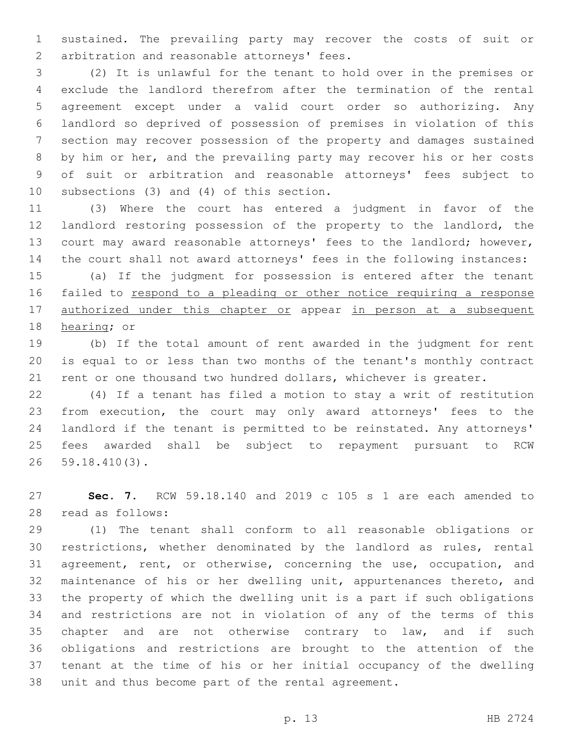sustained. The prevailing party may recover the costs of suit or 2 arbitration and reasonable attorneys' fees.

 (2) It is unlawful for the tenant to hold over in the premises or exclude the landlord therefrom after the termination of the rental agreement except under a valid court order so authorizing. Any landlord so deprived of possession of premises in violation of this section may recover possession of the property and damages sustained by him or her, and the prevailing party may recover his or her costs of suit or arbitration and reasonable attorneys' fees subject to 10 subsections  $(3)$  and  $(4)$  of this section.

 (3) Where the court has entered a judgment in favor of the landlord restoring possession of the property to the landlord, the court may award reasonable attorneys' fees to the landlord; however, the court shall not award attorneys' fees in the following instances:

 (a) If the judgment for possession is entered after the tenant failed to respond to a pleading or other notice requiring a response 17 authorized under this chapter or appear in person at a subsequent 18 hearing; or

 (b) If the total amount of rent awarded in the judgment for rent is equal to or less than two months of the tenant's monthly contract rent or one thousand two hundred dollars, whichever is greater.

 (4) If a tenant has filed a motion to stay a writ of restitution from execution, the court may only award attorneys' fees to the landlord if the tenant is permitted to be reinstated. Any attorneys' fees awarded shall be subject to repayment pursuant to RCW 59.18.410(3).26

 **Sec. 7.** RCW 59.18.140 and 2019 c 105 s 1 are each amended to read as follows:28

 (1) The tenant shall conform to all reasonable obligations or restrictions, whether denominated by the landlord as rules, rental agreement, rent, or otherwise, concerning the use, occupation, and maintenance of his or her dwelling unit, appurtenances thereto, and the property of which the dwelling unit is a part if such obligations and restrictions are not in violation of any of the terms of this 35 chapter and are not otherwise contrary to law, and if such obligations and restrictions are brought to the attention of the tenant at the time of his or her initial occupancy of the dwelling unit and thus become part of the rental agreement.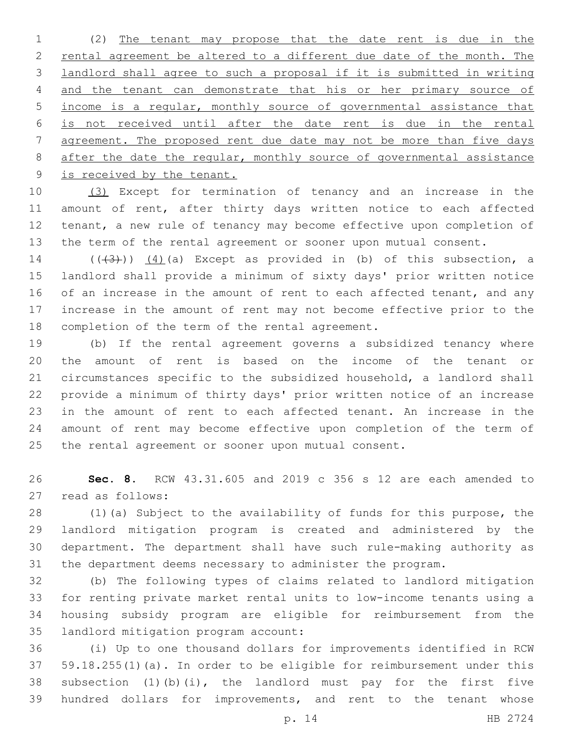(2) The tenant may propose that the date rent is due in the rental agreement be altered to a different due date of the month. The landlord shall agree to such a proposal if it is submitted in writing and the tenant can demonstrate that his or her primary source of income is a regular, monthly source of governmental assistance that is not received until after the date rent is due in the rental agreement. The proposed rent due date may not be more than five days 8 after the date the regular, monthly source of governmental assistance is received by the tenant.

 (3) Except for termination of tenancy and an increase in the 11 amount of rent, after thirty days written notice to each affected tenant, a new rule of tenancy may become effective upon completion of the term of the rental agreement or sooner upon mutual consent.

14  $((+3+))$   $(4)$  (a) Except as provided in (b) of this subsection, a landlord shall provide a minimum of sixty days' prior written notice 16 of an increase in the amount of rent to each affected tenant, and any increase in the amount of rent may not become effective prior to the 18 completion of the term of the rental agreement.

 (b) If the rental agreement governs a subsidized tenancy where the amount of rent is based on the income of the tenant or circumstances specific to the subsidized household, a landlord shall provide a minimum of thirty days' prior written notice of an increase in the amount of rent to each affected tenant. An increase in the amount of rent may become effective upon completion of the term of the rental agreement or sooner upon mutual consent.

 **Sec. 8.** RCW 43.31.605 and 2019 c 356 s 12 are each amended to 27 read as follows:

 (1)(a) Subject to the availability of funds for this purpose, the landlord mitigation program is created and administered by the department. The department shall have such rule-making authority as the department deems necessary to administer the program.

 (b) The following types of claims related to landlord mitigation for renting private market rental units to low-income tenants using a housing subsidy program are eligible for reimbursement from the 35 landlord mitigation program account:

 (i) Up to one thousand dollars for improvements identified in RCW 59.18.255(1)(a). In order to be eligible for reimbursement under this subsection (1)(b)(i), the landlord must pay for the first five hundred dollars for improvements, and rent to the tenant whose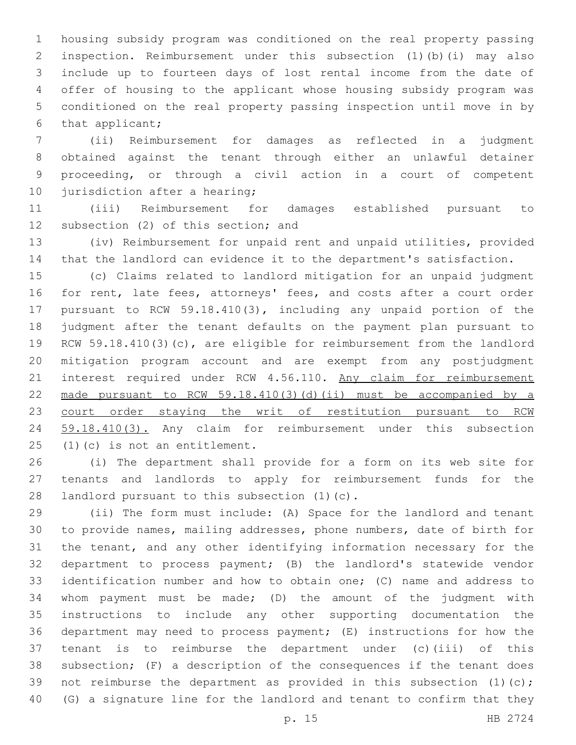housing subsidy program was conditioned on the real property passing inspection. Reimbursement under this subsection (1)(b)(i) may also include up to fourteen days of lost rental income from the date of offer of housing to the applicant whose housing subsidy program was conditioned on the real property passing inspection until move in by 6 that applicant;

 (ii) Reimbursement for damages as reflected in a judgment obtained against the tenant through either an unlawful detainer proceeding, or through a civil action in a court of competent 10 jurisdiction after a hearing;

 (iii) Reimbursement for damages established pursuant to 12 subsection (2) of this section; and

 (iv) Reimbursement for unpaid rent and unpaid utilities, provided that the landlord can evidence it to the department's satisfaction.

 (c) Claims related to landlord mitigation for an unpaid judgment 16 for rent, late fees, attorneys' fees, and costs after a court order pursuant to RCW 59.18.410(3), including any unpaid portion of the judgment after the tenant defaults on the payment plan pursuant to RCW 59.18.410(3)(c), are eligible for reimbursement from the landlord mitigation program account and are exempt from any postjudgment 21 interest required under RCW 4.56.110. Any claim for reimbursement made pursuant to RCW 59.18.410(3)(d)(ii) must be accompanied by a 23 court order staying the writ of restitution pursuant to RCW 24 59.18.410(3). Any claim for reimbursement under this subsection  $(1)(c)$  is not an entitlement.

 (i) The department shall provide for a form on its web site for tenants and landlords to apply for reimbursement funds for the 28 landlord pursuant to this subsection (1)(c).

 (ii) The form must include: (A) Space for the landlord and tenant to provide names, mailing addresses, phone numbers, date of birth for the tenant, and any other identifying information necessary for the department to process payment; (B) the landlord's statewide vendor identification number and how to obtain one; (C) name and address to whom payment must be made; (D) the amount of the judgment with instructions to include any other supporting documentation the department may need to process payment; (E) instructions for how the tenant is to reimburse the department under (c)(iii) of this subsection; (F) a description of the consequences if the tenant does 39 not reimburse the department as provided in this subsection (1)(c); (G) a signature line for the landlord and tenant to confirm that they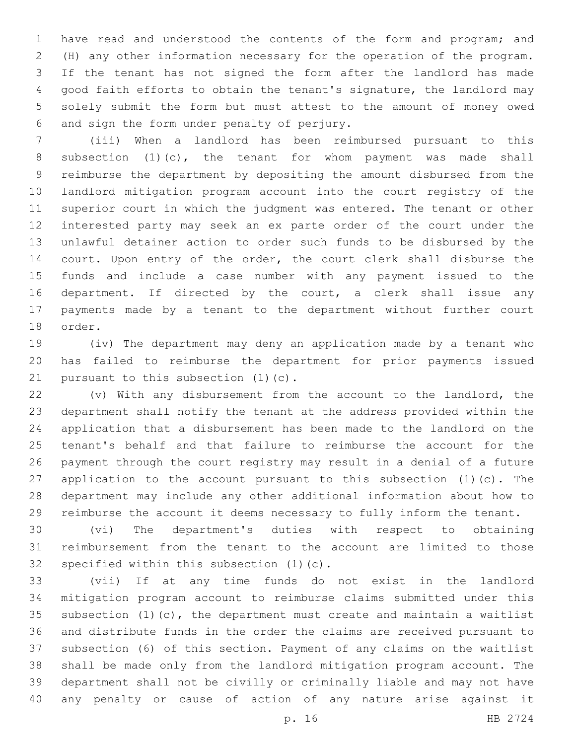have read and understood the contents of the form and program; and (H) any other information necessary for the operation of the program. If the tenant has not signed the form after the landlord has made good faith efforts to obtain the tenant's signature, the landlord may solely submit the form but must attest to the amount of money owed 6 and sign the form under penalty of perjury.

 (iii) When a landlord has been reimbursed pursuant to this subsection (1)(c), the tenant for whom payment was made shall reimburse the department by depositing the amount disbursed from the landlord mitigation program account into the court registry of the superior court in which the judgment was entered. The tenant or other interested party may seek an ex parte order of the court under the unlawful detainer action to order such funds to be disbursed by the court. Upon entry of the order, the court clerk shall disburse the funds and include a case number with any payment issued to the department. If directed by the court, a clerk shall issue any payments made by a tenant to the department without further court 18 order.

 (iv) The department may deny an application made by a tenant who has failed to reimburse the department for prior payments issued 21 pursuant to this subsection  $(1)(c)$ .

 (v) With any disbursement from the account to the landlord, the department shall notify the tenant at the address provided within the application that a disbursement has been made to the landlord on the tenant's behalf and that failure to reimburse the account for the payment through the court registry may result in a denial of a future application to the account pursuant to this subsection (1)(c). The department may include any other additional information about how to reimburse the account it deems necessary to fully inform the tenant.

 (vi) The department's duties with respect to obtaining reimbursement from the tenant to the account are limited to those 32 specified within this subsection  $(1)(c)$ .

 (vii) If at any time funds do not exist in the landlord mitigation program account to reimburse claims submitted under this 35 subsection  $(1)$   $(c)$ , the department must create and maintain a waitlist and distribute funds in the order the claims are received pursuant to subsection (6) of this section. Payment of any claims on the waitlist shall be made only from the landlord mitigation program account. The department shall not be civilly or criminally liable and may not have any penalty or cause of action of any nature arise against it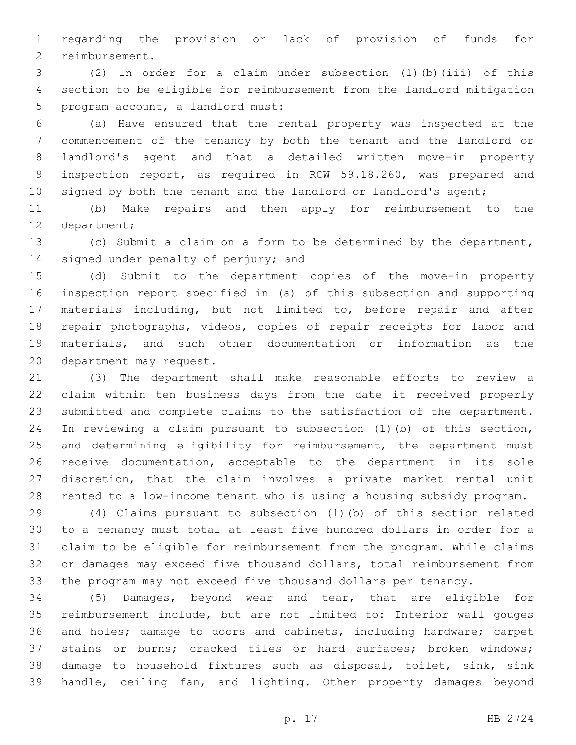regarding the provision or lack of provision of funds for 2 reimbursement.

 (2) In order for a claim under subsection (1)(b)(iii) of this section to be eligible for reimbursement from the landlord mitigation 5 program account, a landlord must:

 (a) Have ensured that the rental property was inspected at the commencement of the tenancy by both the tenant and the landlord or landlord's agent and that a detailed written move-in property inspection report, as required in RCW 59.18.260, was prepared and 10 signed by both the tenant and the landlord or landlord's agent;

 (b) Make repairs and then apply for reimbursement to the 12 department;

 (c) Submit a claim on a form to be determined by the department, 14 signed under penalty of perjury; and

 (d) Submit to the department copies of the move-in property inspection report specified in (a) of this subsection and supporting materials including, but not limited to, before repair and after repair photographs, videos, copies of repair receipts for labor and materials, and such other documentation or information as the 20 department may request.

 (3) The department shall make reasonable efforts to review a claim within ten business days from the date it received properly submitted and complete claims to the satisfaction of the department. In reviewing a claim pursuant to subsection (1)(b) of this section, and determining eligibility for reimbursement, the department must receive documentation, acceptable to the department in its sole discretion, that the claim involves a private market rental unit rented to a low-income tenant who is using a housing subsidy program.

 (4) Claims pursuant to subsection (1)(b) of this section related to a tenancy must total at least five hundred dollars in order for a claim to be eligible for reimbursement from the program. While claims or damages may exceed five thousand dollars, total reimbursement from the program may not exceed five thousand dollars per tenancy.

 (5) Damages, beyond wear and tear, that are eligible for reimbursement include, but are not limited to: Interior wall gouges and holes; damage to doors and cabinets, including hardware; carpet stains or burns; cracked tiles or hard surfaces; broken windows; damage to household fixtures such as disposal, toilet, sink, sink handle, ceiling fan, and lighting. Other property damages beyond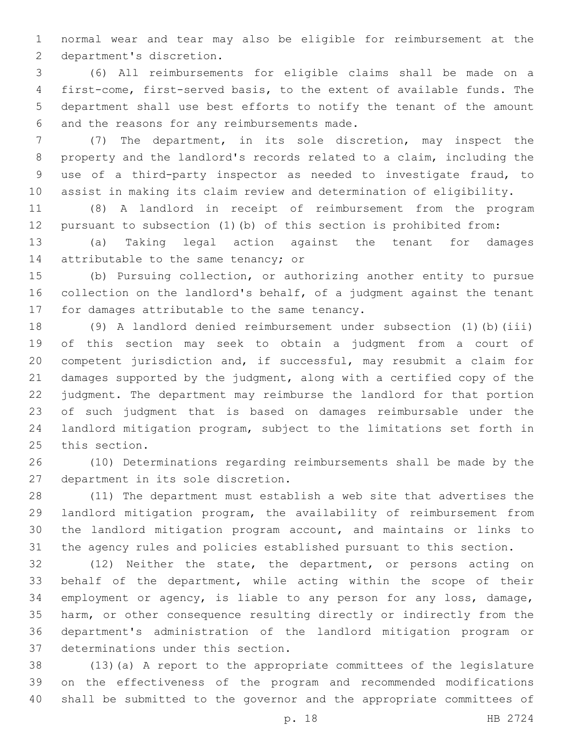normal wear and tear may also be eligible for reimbursement at the 2 department's discretion.

 (6) All reimbursements for eligible claims shall be made on a first-come, first-served basis, to the extent of available funds. The department shall use best efforts to notify the tenant of the amount 6 and the reasons for any reimbursements made.

 (7) The department, in its sole discretion, may inspect the property and the landlord's records related to a claim, including the use of a third-party inspector as needed to investigate fraud, to assist in making its claim review and determination of eligibility.

 (8) A landlord in receipt of reimbursement from the program pursuant to subsection (1)(b) of this section is prohibited from:

 (a) Taking legal action against the tenant for damages 14 attributable to the same tenancy; or

 (b) Pursuing collection, or authorizing another entity to pursue collection on the landlord's behalf, of a judgment against the tenant 17 for damages attributable to the same tenancy.

 (9) A landlord denied reimbursement under subsection (1)(b)(iii) of this section may seek to obtain a judgment from a court of competent jurisdiction and, if successful, may resubmit a claim for damages supported by the judgment, along with a certified copy of the judgment. The department may reimburse the landlord for that portion of such judgment that is based on damages reimbursable under the landlord mitigation program, subject to the limitations set forth in 25 this section.

 (10) Determinations regarding reimbursements shall be made by the 27 department in its sole discretion.

 (11) The department must establish a web site that advertises the landlord mitigation program, the availability of reimbursement from the landlord mitigation program account, and maintains or links to the agency rules and policies established pursuant to this section.

 (12) Neither the state, the department, or persons acting on behalf of the department, while acting within the scope of their employment or agency, is liable to any person for any loss, damage, harm, or other consequence resulting directly or indirectly from the department's administration of the landlord mitigation program or 37 determinations under this section.

 (13)(a) A report to the appropriate committees of the legislature on the effectiveness of the program and recommended modifications shall be submitted to the governor and the appropriate committees of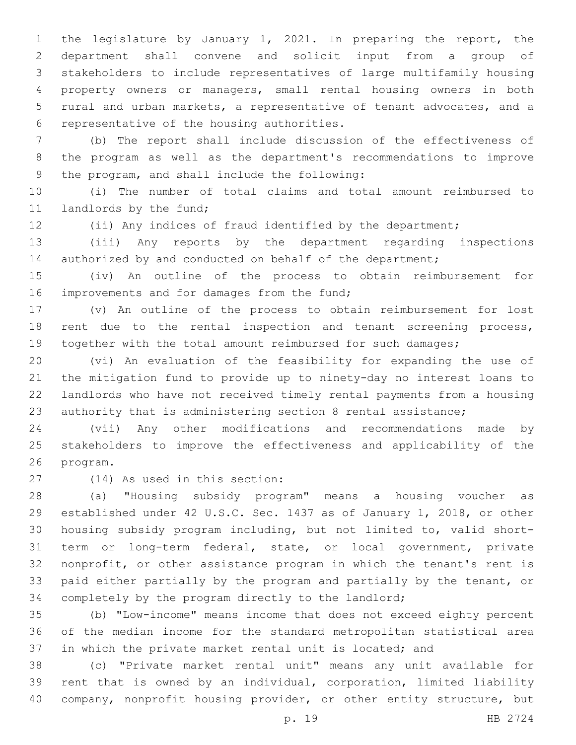the legislature by January 1, 2021. In preparing the report, the department shall convene and solicit input from a group of stakeholders to include representatives of large multifamily housing property owners or managers, small rental housing owners in both rural and urban markets, a representative of tenant advocates, and a 6 representative of the housing authorities.

 (b) The report shall include discussion of the effectiveness of the program as well as the department's recommendations to improve 9 the program, and shall include the following:

 (i) The number of total claims and total amount reimbursed to 11 landlords by the fund;

(ii) Any indices of fraud identified by the department;

 (iii) Any reports by the department regarding inspections 14 authorized by and conducted on behalf of the department;

 (iv) An outline of the process to obtain reimbursement for 16 improvements and for damages from the fund;

 (v) An outline of the process to obtain reimbursement for lost rent due to the rental inspection and tenant screening process, 19 together with the total amount reimbursed for such damages;

 (vi) An evaluation of the feasibility for expanding the use of the mitigation fund to provide up to ninety-day no interest loans to landlords who have not received timely rental payments from a housing authority that is administering section 8 rental assistance;

 (vii) Any other modifications and recommendations made by stakeholders to improve the effectiveness and applicability of the 26 program.

(14) As used in this section:27

 (a) "Housing subsidy program" means a housing voucher as established under 42 U.S.C. Sec. 1437 as of January 1, 2018, or other housing subsidy program including, but not limited to, valid short- term or long-term federal, state, or local government, private nonprofit, or other assistance program in which the tenant's rent is paid either partially by the program and partially by the tenant, or completely by the program directly to the landlord;

 (b) "Low-income" means income that does not exceed eighty percent of the median income for the standard metropolitan statistical area in which the private market rental unit is located; and

 (c) "Private market rental unit" means any unit available for rent that is owned by an individual, corporation, limited liability company, nonprofit housing provider, or other entity structure, but